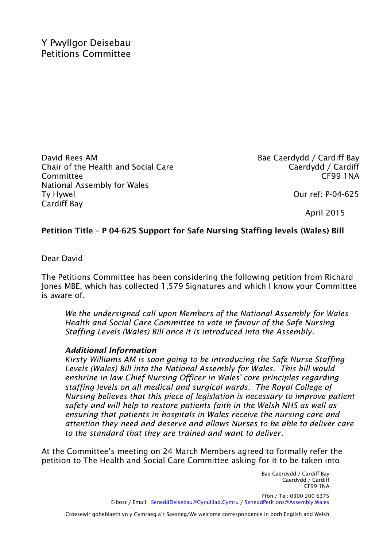David Rees AM Chair of the Health and Social Care Committee National Assembly for Wales Ty Hywel Cardiff Bay

Bae Caerdydd / Cardiff Bay Caerdydd / Cardiff CF99 1NA

Our ref: P-04-625

April 2015

## **Petition Title – P 04-625 Support for Safe Nursing Staffing levels (Wales) Bill**

Dear David

The Petitions Committee has been considering the following petition from Richard Jones MBE, which has collected 1,579 Signatures and which I know your Committee is aware of.

*We the undersigned call upon Members of the National Assembly for Wales Health and Social Care Committee to vote in favour of the Safe Nursing Staffing Levels (Wales) Bill once it is introduced into the Assembly.*

## *Additional Information*

*Kirsty Williams AM is soon going to be introducing the Safe Nurse Staffing Levels (Wales) Bill into the National Assembly for Wales. This bill would enshrine in law Chief Nursing Officer in Wales' core principles regarding staffing levels on all medical and surgical wards. The Royal College of Nursing believes that this piece of legislation is necessary to improve patient safety and will help to restore patients faith in the Welsh NHS as well as ensuring that patients in hospitals in Wales receive the nursing care and attention they need and deserve and allows Nurses to be able to deliver care to the standard that they are trained and want to deliver.* 

At the Committee's meeting on 24 March Members agreed to formally refer the petition to The Health and Social Care Committee asking for it to be taken into